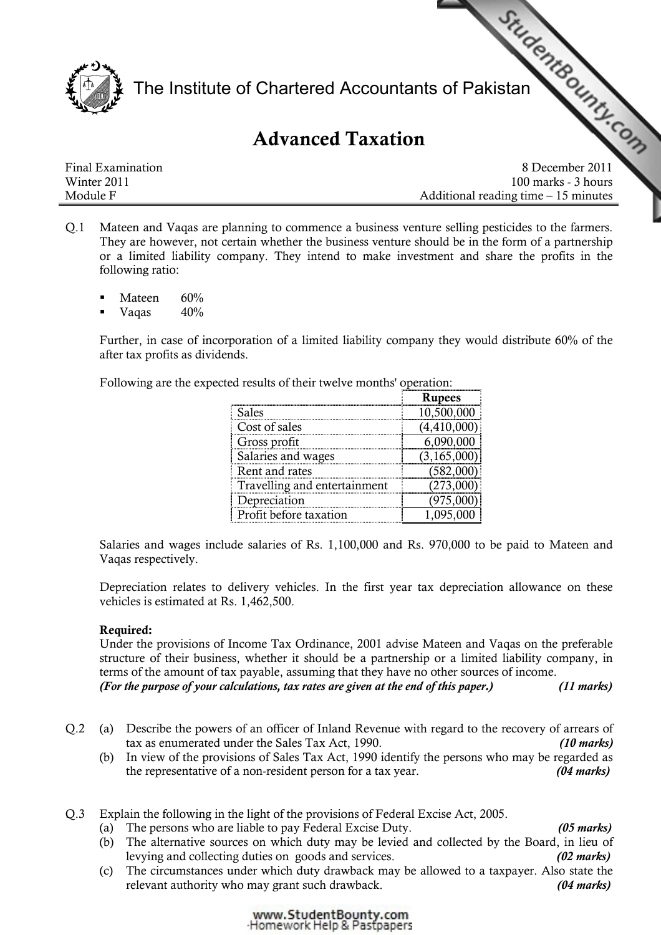

The Institute of Chartered Accountant[s of Pakistan](http://www.studentbounty.com) Final Examination<br>Final Examination<br>Final Examination<br>Becember 2011

# Advanced Taxation

Winter 2011 **100 marks - 3 hours** 100 marks - 3 hours Module F Additional reading time – 15 minutes

- Q.1 Mateen and Vaqas are planning to commence a business venture selling pesticides to the farmers. They are however, not certain whether the business venture should be in the form of a partnership or a limited liability company. They intend to make investment and share the profits in the following ratio:
	- Mateen 60%
	- Vaqas 40%

Further, in case of incorporation of a limited liability company they would distribute 60% of the after tax profits as dividends.

Following are the expected results of their twelve months' operation:

|                              | <b>Rupees</b> |
|------------------------------|---------------|
| Sales                        | 10,500,000    |
| Cost of sales                | (4,410,000)   |
| Gross profit                 | 6,090,000     |
| Salaries and wages           | (3, 165, 000) |
| Rent and rates               | (582,000)     |
| Travelling and entertainment | (273,000)     |
| Depreciation                 | (975,000      |
| Profit before taxation       |               |

Salaries and wages include salaries of Rs. 1,100,000 and Rs. 970,000 to be paid to Mateen and Vaqas respectively.

Depreciation relates to delivery vehicles. In the first year tax depreciation allowance on these vehicles is estimated at Rs. 1,462,500.

# Required:

Under the provisions of Income Tax Ordinance, 2001 advise Mateen and Vaqas on the preferable structure of their business, whether it should be a partnership or a limited liability company, in terms of the amount of tax payable, assuming that they have no other sources of income. (For the purpose of your calculations, tax rates are given at the end of this paper.) (11 marks)

- Q.2 (a) Describe the powers of an officer of Inland Revenue with regard to the recovery of arrears of tax as enumerated under the Sales Tax Act, 1990. (10 marks) (10 marks)
	- (b) In view of the provisions of Sales Tax Act, 1990 identify the persons who may be regarded as the representative of a non-resident person for a tax year. (04 marks)
- Q.3 Explain the following in the light of the provisions of Federal Excise Act, 2005.
	- (a) The persons who are liable to pay Federal Excise Duty. (05 marks)
	- (b) The alternative sources on which duty may be levied and collected by the Board, in lieu of levying and collecting duties on goods and services. (02 marks)
	- (c) The circumstances under which duty drawback may be allowed to a taxpayer. Also state the relevant authority who may grant such drawback. (04 marks)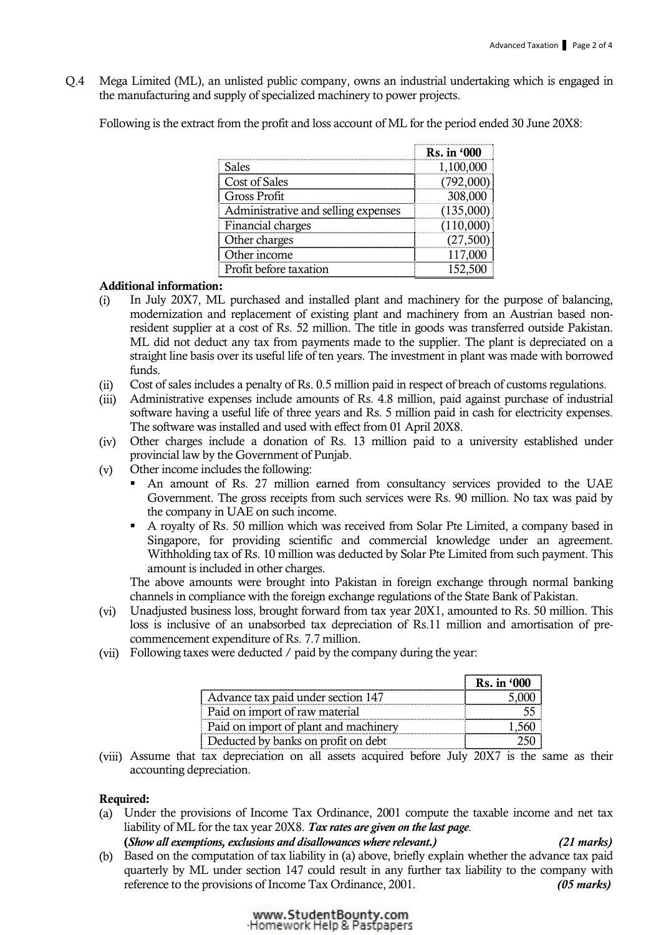Q.4 Mega Limited (ML), an unlisted public company, owns an industrial undertaking which is engaged in the manufacturing and supply of specialized machinery to power projects.

Following is the extract from the profit and loss account of ML for the period ended 30 June 20X8:

|                                     | Rs. in '000 |
|-------------------------------------|-------------|
| Sales                               | 1,100,000   |
| Cost of Sales                       | 792.000     |
| Gross Profit                        | 308,000     |
| Administrative and selling expenses | (135,000)   |
| Financial charges                   |             |
| Other charges                       | (27.500     |
| Other income                        |             |
| Profit before taxation              |             |

## Additional information:

- (i) In July 20X7, ML purchased and installed plant and machinery for the purpose of balancing, modernization and replacement of existing plant and machinery from an Austrian based nonresident supplier at a cost of Rs. 52 million. The title in goods was transferred outside Pakistan. ML did not deduct any tax from payments made to the supplier. The plant is depreciated on a straight line basis over its useful life of ten years. The investment in plant was made with borrowed funds.
- (ii) Cost of sales includes a penalty of Rs. 0.5 million paid in respect of breach of customs regulations.
- (iii) Administrative expenses include amounts of Rs. 4.8 million, paid against purchase of industrial software having a useful life of three years and Rs. 5 million paid in cash for electricity expenses. The software was installed and used with effect from 01 April 20X8.
- (iv) Other charges include a donation of Rs. 13 million paid to a university established under provincial law by the Government of Punjab.
- (v) Other income includes the following:
	- An amount of Rs. 27 million earned from consultancy services provided to the UAE Government. The gross receipts from such services were Rs. 90 million. No tax was paid by the company in UAE on such income.
	- A royalty of Rs. 50 million which was received from Solar Pte Limited, a company based in Singapore, for providing scientific and commercial knowledge under an agreement. Withholding tax of Rs. 10 million was deducted by Solar Pte Limited from such payment. This amount is included in other charges.

The above amounts were brought into Pakistan in foreign exchange through normal banking channels in compliance with the foreign exchange regulations of the State Bank of Pakistan.

- (vi) Unadjusted business loss, brought forward from tax year 20X1, amounted to Rs. 50 million. This loss is inclusive of an unabsorbed tax depreciation of Rs.11 million and amortisation of precommencement expenditure of Rs. 7.7 million.
- (vii) Following taxes were deducted / paid by the company during the year:

|                                       | <b>Rs.</b> in '000 |
|---------------------------------------|--------------------|
| Advance tax paid under section 147    |                    |
| Paid on import of raw material        |                    |
| Paid on import of plant and machinery |                    |
| Deducted by banks on profit on debt   |                    |

(viii) Assume that tax depreciation on all assets acquired before July 20X7 is the same as their accounting depreciation.

# Required:

(a) Under the provisions of Income Tax Ordinance, 2001 compute the taxable income and net tax liability of ML for the tax year 20X8. Tax rates are given on the last page.

(Show all exemptions, exclusions and disallowances where relevant.) (21 marks)

(b) Based on the computation of tax liability in (a) above, briefly explain whether the advance tax paid quarterly by ML under section 147 could result in any further tax liability to the company with reference to the provisions of Income Tax Ordinance, 2001. (05 marks)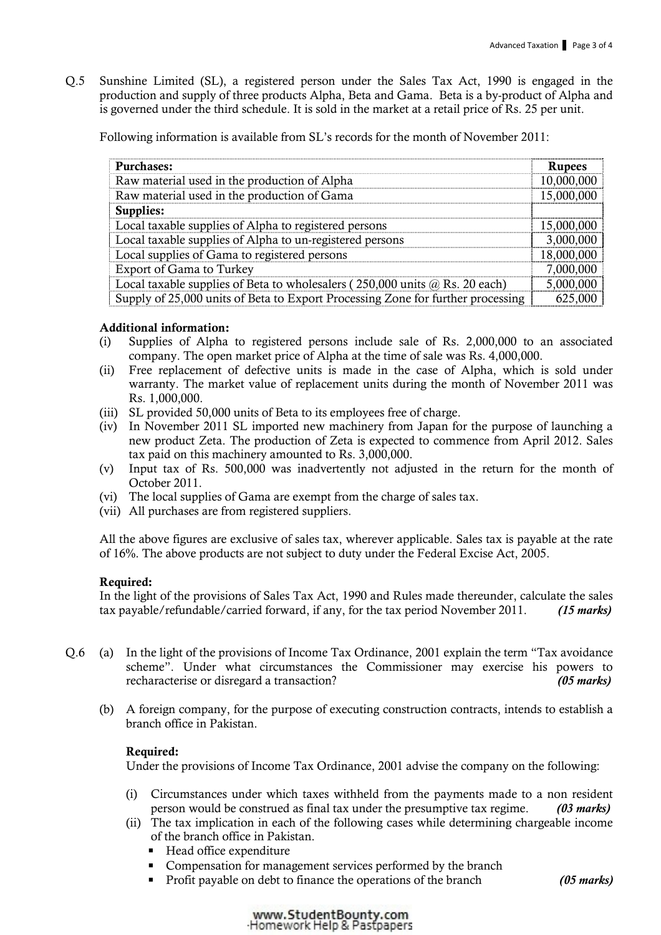Q.5 Sunshine Limited (SL), a registered person under the Sales Tax Act, 1990 is engaged in the production and supply of three products Alpha, Beta and Gama. Beta is a by-product of Alpha and is governed under the third schedule. It is sold in the market at a retail price of Rs. 25 per unit.

Following information is available from SL's records for the month of November 2011:

| <b>Purchases:</b>                                                                     | <b>Rupees</b> |
|---------------------------------------------------------------------------------------|---------------|
| Raw material used in the production of Alpha                                          | 10,000,000    |
| Raw material used in the production of Gama                                           | 15,000,000    |
| Supplies:                                                                             |               |
| Local taxable supplies of Alpha to registered persons                                 | 15,000,000    |
| Local taxable supplies of Alpha to un-registered persons                              | 3,000,000     |
| Local supplies of Gama to registered persons                                          | 18,000,000    |
| Export of Gama to Turkey                                                              | 7,000,000     |
| Local taxable supplies of Beta to wholesalers ( $250,000$ units $\omega$ Rs. 20 each) | 5,000,000     |
| Supply of 25,000 units of Beta to Export Processing Zone for further processing       | 625,000       |

# Additional information:

- (i) Supplies of Alpha to registered persons include sale of Rs. 2,000,000 to an associated company. The open market price of Alpha at the time of sale was Rs. 4,000,000.
- (ii) Free replacement of defective units is made in the case of Alpha, which is sold under warranty. The market value of replacement units during the month of November 2011 was Rs. 1,000,000.
- (iii) SL provided 50,000 units of Beta to its employees free of charge.
- (iv) In November 2011 SL imported new machinery from Japan for the purpose of launching a new product Zeta. The production of Zeta is expected to commence from April 2012. Sales tax paid on this machinery amounted to Rs. 3,000,000.
- (v) Input tax of Rs. 500,000 was inadvertently not adjusted in the return for the month of October 2011.
- (vi) The local supplies of Gama are exempt from the charge of sales tax.
- (vii) All purchases are from registered suppliers.

All the above figures are exclusive of sales tax, wherever applicable. Sales tax is payable at the rate of 16%. The above products are not subject to duty under the Federal Excise Act, 2005.

## Required:

In the light of the provisions of Sales Tax Act, 1990 and Rules made thereunder, calculate the sales tax payable/refundable/carried forward, if any, for the tax period November 2011. (15 marks)

- Q.6 (a) In the light of the provisions of Income Tax Ordinance, 2001 explain the term "Tax avoidance scheme". Under what circumstances the Commissioner may exercise his powers to recharacterise or disregard a transaction? (05 marks)
	- (b) A foreign company, for the purpose of executing construction contracts, intends to establish a branch office in Pakistan.

## Required:

Under the provisions of Income Tax Ordinance, 2001 advise the company on the following:

- (i) Circumstances under which taxes withheld from the payments made to a non resident person would be construed as final tax under the presumptive tax regime. (03 marks)
- (ii) The tax implication in each of the following cases while determining chargeable income of the branch office in Pakistan.
	- Head office expenditure
	- Compensation for management services performed by the branch
	- Profit payable on debt to finance the operations of the branch (05 marks)